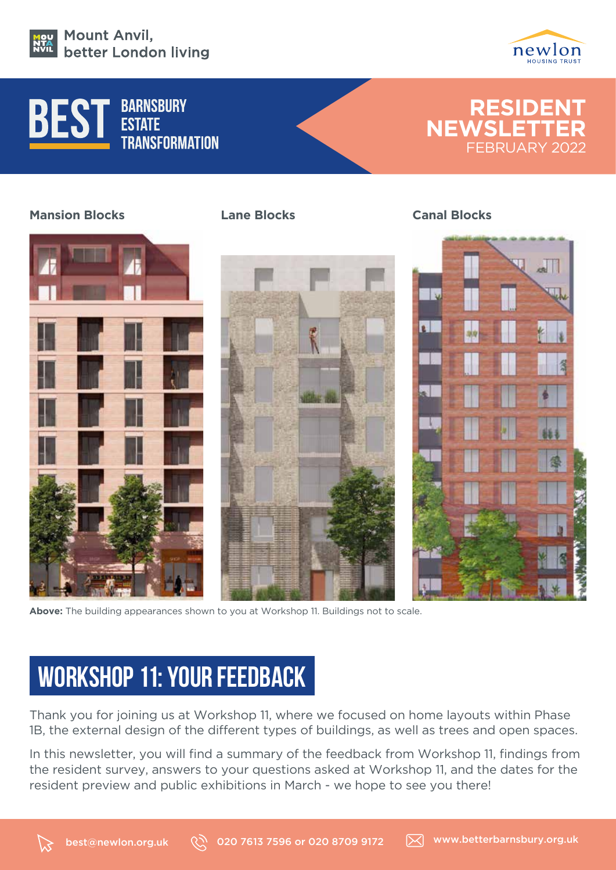



### **BARNSBURY ESTATE** \_\_\_\_\_\_<br>Transformation



### **Mansion Blocks**





**Above:** The building appearances shown to you at Workshop 11. Buildings not to scale.

# **WORKSHOP 11: YOUR FEEDBACK**

Thank you for joining us at Workshop 11, where we focused on home layouts within Phase 1B, the external design of the different types of buildings, as well as trees and open spaces.

In this newsletter, you will find a summary of the feedback from Workshop 11, findings from the resident survey, answers to your questions asked at Workshop 11, and the dates for the resident preview and public exhibitions in March - we hope to see you there!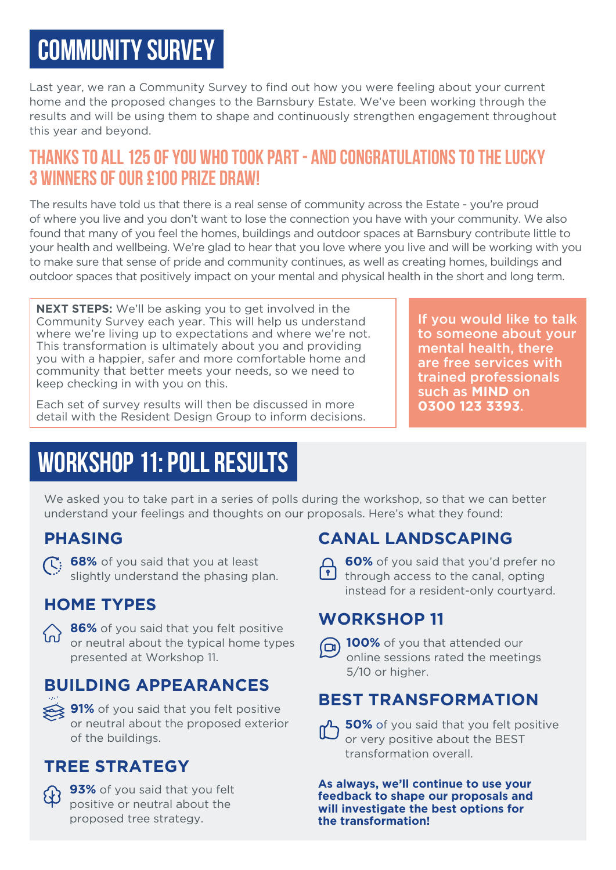# **COMMUNITY SURVEY**

Last year, we ran a Community Survey to find out how you were feeling about your current home and the proposed changes to the Barnsbury Estate. We've been working through the results and will be using them to shape and continuously strengthen engagement throughout this year and beyond.

## **THANKS TO ALL 125 OF YOU WHO TOOK PART - AND CONGRATULATIONS TO THE LUCKY 3 WINNERS OF OUR £100 PRIZE DRAW!**

The results have told us that there is a real sense of community across the Estate - you're proud of where you live and you don't want to lose the connection you have with your community. We also found that many of you feel the homes, buildings and outdoor spaces at Barnsbury contribute little to your health and wellbeing. We're glad to hear that you love where you live and will be working with you to make sure that sense of pride and community continues, as well as creating homes, buildings and outdoor spaces that positively impact on your mental and physical health in the short and long term.

**NEXT STEPS:** We'll be asking you to get involved in the Community Survey each year. This will help us understand where we're living up to expectations and where we're not. This transformation is ultimately about you and providing you with a happier, safer and more comfortable home and community that better meets your needs, so we need to keep checking in with you on this.

Each set of survey results will then be discussed in more detail with the Resident Design Group to inform decisions.

If you would like to talk to someone about your mental health, there are free services with trained professionals such as **MIND** on **0300 123 3393**.

## **WORKSHOP 11: POLL RESULTS**

We asked you to take part in a series of polls during the workshop, so that we can better understand your feelings and thoughts on our proposals. Here's what they found:

### **PHASING**

**168%** of you said that you at least slightly understand the phasing plan.

## **HOME TYPES**



**86%** of you said that you felt positive or neutral about the typical home types presented at Workshop 11.

## **BUILDING APPEARANCES**

**91%** of you said that you felt positive or neutral about the proposed exterior of the buildings.

## **TREE STRATEGY**

**93%** of you said that you felt positive or neutral about the proposed tree strategy.

## **CANAL LANDSCAPING**

**60%** of you said that you'd prefer no  $\bullet$  through access to the canal, opting instead for a resident-only courtyard.

## **WORKSHOP 11**



**100%** of you that attended our online sessions rated the meetings 5/10 or higher.

## **BEST TRANSFORMATION**



**As always, we'll continue to use your feedback to shape our proposals and will investigate the best options for the transformation!**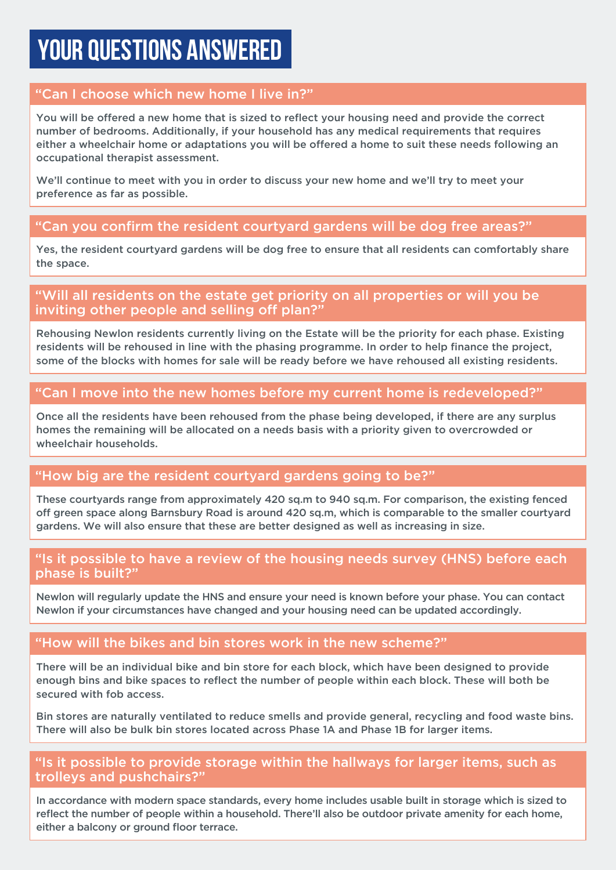## **YOUR QUESTIONS ANSWERED**

### "Can I choose which new home I live in?"

You will be offered a new home that is sized to reflect your housing need and provide the correct number of bedrooms. Additionally, if your household has any medical requirements that requires either a wheelchair home or adaptations you will be offered a home to suit these needs following an occupational therapist assessment.

We'll continue to meet with you in order to discuss your new home and we'll try to meet your preference as far as possible.

### "Can you confirm the resident courtyard gardens will be dog free areas?"

Yes, the resident courtyard gardens will be dog free to ensure that all residents can comfortably share the space.

### "Will all residents on the estate get priority on all properties or will you be inviting other people and selling off plan?"

Rehousing Newlon residents currently living on the Estate will be the priority for each phase. Existing residents will be rehoused in line with the phasing programme. In order to help finance the project, some of the blocks with homes for sale will be ready before we have rehoused all existing residents.

### "Can I move into the new homes before my current home is redeveloped?"

Once all the residents have been rehoused from the phase being developed, if there are any surplus homes the remaining will be allocated on a needs basis with a priority given to overcrowded or wheelchair households.

#### "How big are the resident courtyard gardens going to be?"

These courtyards range from approximately 420 sq.m to 940 sq.m. For comparison, the existing fenced off green space along Barnsbury Road is around 420 sq.m, which is comparable to the smaller courtyard gardens. We will also ensure that these are better designed as well as increasing in size.

#### "Is it possible to have a review of the housing needs survey (HNS) before each phase is built?"

Newlon will regularly update the HNS and ensure your need is known before your phase. You can contact Newlon if your circumstances have changed and your housing need can be updated accordingly.

### "How will the bikes and bin stores work in the new scheme?"

There will be an individual bike and bin store for each block, which have been designed to provide enough bins and bike spaces to reflect the number of people within each block. These will both be secured with fob access.

Bin stores are naturally ventilated to reduce smells and provide general, recycling and food waste bins. There will also be bulk bin stores located across Phase 1A and Phase 1B for larger items.

#### "Is it possible to provide storage within the hallways for larger items, such as trolleys and pushchairs?"

In accordance with modern space standards, every home includes usable built in storage which is sized to reflect the number of people within a household. There'll also be outdoor private amenity for each home, either a balcony or ground floor terrace.